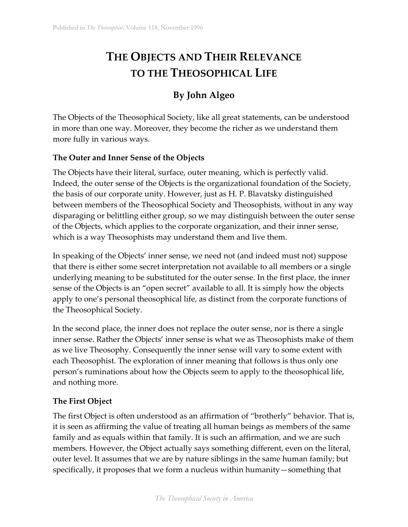# **THE OBJECTS AND THEIR RELEVANCE TO THE THEOSOPHICAL LIFE**

# **By John Algeo**

The Objects of the Theosophical Society, like all great statements, can be understood in more than one way. Moreover, they become the richer as we understand them more fully in various ways.

## **The Outer and Inner Sense of the Objects**

The Objects have their literal, surface, outer meaning, which is perfectly valid. Indeed, the outer sense of the Objects is the organizational foundation of the Society, the basis of our corporate unity. However, just as H. P. Blavatsky distinguished between members of the Theosophical Society and Theosophists, without in any way disparaging or belittling either group, so we may distinguish between the outer sense of the Objects, which applies to the corporate organization, and their inner sense, which is a way Theosophists may understand them and live them.

In speaking of the Objects' inner sense, we need not (and indeed must not) suppose that there is either some secret interpretation not available to all members or a single underlying meaning to be substituted for the outer sense. In the first place, the inner sense of the Objects is an "open secret" available to all. It is simply how the objects apply to one's personal theosophical life, as distinct from the corporate functions of the Theosophical Society.

In the second place, the inner does not replace the outer sense, nor is there a single inner sense. Rather the Objects' inner sense is what we as Theosophists make of them as we live Theosophy. Consequently the inner sense will vary to some extent with each Theosophist. The exploration of inner meaning that follows is thus only one person's ruminations about how the Objects seem to apply to the theosophical life, and nothing more.

#### **The First Object**

The first Object is often understood as an affirmation of "brotherly" behavior. That is, it is seen as affirming the value of treating all human beings as members of the same family and as equals within that family. It is such an affirmation, and we are such members. However, the Object actually says something different, even on the literal, outer level. It assumes that we are by nature siblings in the same human family; but specifically, it proposes that we form a nucleus within humanity—something that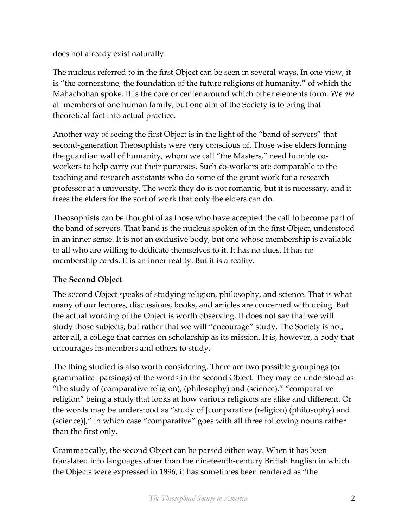does not already exist naturally.

The nucleus referred to in the first Object can be seen in several ways. In one view, it is "the cornerstone, the foundation of the future religions of humanity," of which the Mahachohan spoke. It is the core or center around which other elements form. We *are* all members of one human family, but one aim of the Society is to bring that theoretical fact into actual practice.

Another way of seeing the first Object is in the light of the "band of servers" that second-generation Theosophists were very conscious of. Those wise elders forming the guardian wall of humanity, whom we call "the Masters," need humble coworkers to help carry out their purposes. Such co-workers are comparable to the teaching and research assistants who do some of the grunt work for a research professor at a university. The work they do is not romantic, but it is necessary, and it frees the elders for the sort of work that only the elders can do.

Theosophists can be thought of as those who have accepted the call to become part of the band of servers. That band is the nucleus spoken of in the first Object, understood in an inner sense. It is not an exclusive body, but one whose membership is available to all who are willing to dedicate themselves to it. It has no dues. It has no membership cards. It is an inner reality. But it is a reality.

# **The Second Object**

The second Object speaks of studying religion, philosophy, and science. That is what many of our lectures, discussions, books, and articles are concerned with doing. But the actual wording of the Object is worth observing. It does not say that we will study those subjects, but rather that we will "encourage" study. The Society is not, after all, a college that carries on scholarship as its mission. It is, however, a body that encourages its members and others to study.

The thing studied is also worth considering. There are two possible groupings (or grammatical parsings) of the words in the second Object. They may be understood as "the study of (comparative religion), (philosophy) and (science)," "comparative religion" being a study that looks at how various religions are alike and different. Or the words may be understood as "study of [comparative (religion) (philosophy) and (science)]," in which case "comparative" goes with all three following nouns rather than the first only.

Grammatically, the second Object can be parsed either way. When it has been translated into languages other than the nineteenth-century British English in which the Objects were expressed in 1896, it has sometimes been rendered as "the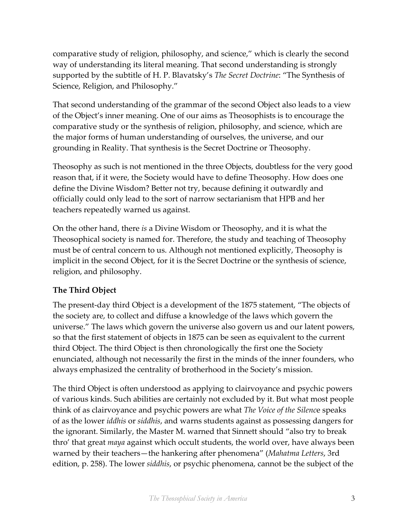comparative study of religion, philosophy, and science," which is clearly the second way of understanding its literal meaning. That second understanding is strongly supported by the subtitle of H. P. Blavatsky's *The Secret Doctrine*: "The Synthesis of Science, Religion, and Philosophy."

That second understanding of the grammar of the second Object also leads to a view of the Object's inner meaning. One of our aims as Theosophists is to encourage the comparative study or the synthesis of religion, philosophy, and science, which are the major forms of human understanding of ourselves, the universe, and our grounding in Reality. That synthesis is the Secret Doctrine or Theosophy.

Theosophy as such is not mentioned in the three Objects, doubtless for the very good reason that, if it were, the Society would have to define Theosophy. How does one define the Divine Wisdom? Better not try, because defining it outwardly and officially could only lead to the sort of narrow sectarianism that HPB and her teachers repeatedly warned us against.

On the other hand, there *is* a Divine Wisdom or Theosophy, and it is what the Theosophical society is named for. Therefore, the study and teaching of Theosophy must be of central concern to us. Although not mentioned explicitly, Theosophy is implicit in the second Object, for it is the Secret Doctrine or the synthesis of science, religion, and philosophy.

# **The Third Object**

The present-day third Object is a development of the 1875 statement, "The objects of the society are, to collect and diffuse a knowledge of the laws which govern the universe." The laws which govern the universe also govern us and our latent powers, so that the first statement of objects in 1875 can be seen as equivalent to the current third Object. The third Object is then chronologically the first one the Society enunciated, although not necessarily the first in the minds of the inner founders, who always emphasized the centrality of brotherhood in the Society's mission.

The third Object is often understood as applying to clairvoyance and psychic powers of various kinds. Such abilities are certainly not excluded by it. But what most people think of as clairvoyance and psychic powers are what *The Voice of the Silenc*e speaks of as the lower *iddhis* or *siddhis*, and warns students against as possessing dangers for the ignorant. Similarly, the Master M. warned that Sinnett should "also try to break thro' that great *maya* against which occult students, the world over, have always been warned by their teachers—the hankering after phenomena" (*Mahatma Letters*, 3rd edition, p. 258). The lower *siddhis*, or psychic phenomena, cannot be the subject of the